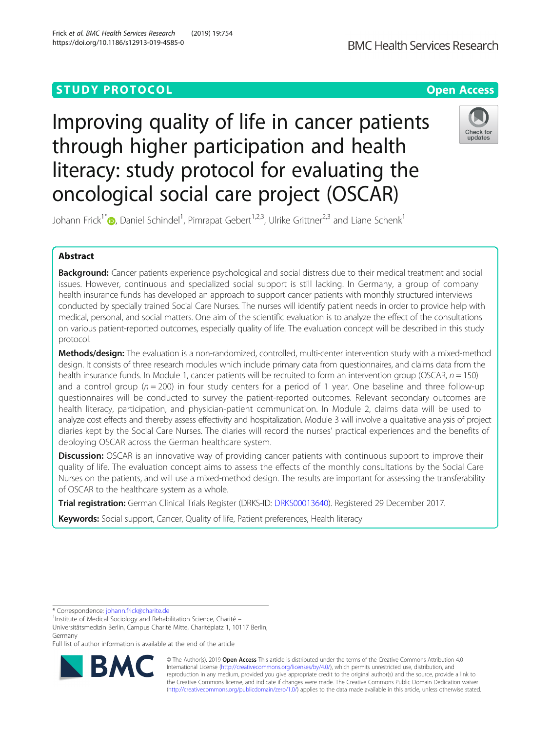## **STUDY PROTOCOL CONSUMING THE RESERVE ACCESS**

Improving quality of life in cancer patients through higher participation and health literacy: study protocol for evaluating the oncological social care project (OSCAR)



Johann Frick<sup>1\*</sup> (D[,](http://orcid.org/0000-0002-4826-4684) Daniel Schindel<sup>1</sup>, Pimrapat Gebert<sup>1,2,3</sup>, Ulrike Grittner<sup>2,3</sup> and Liane Schenk<sup>1</sup>

## Abstract

**Background:** Cancer patients experience psychological and social distress due to their medical treatment and social issues. However, continuous and specialized social support is still lacking. In Germany, a group of company health insurance funds has developed an approach to support cancer patients with monthly structured interviews conducted by specially trained Social Care Nurses. The nurses will identify patient needs in order to provide help with medical, personal, and social matters. One aim of the scientific evaluation is to analyze the effect of the consultations on various patient-reported outcomes, especially quality of life. The evaluation concept will be described in this study protocol.

Methods/design: The evaluation is a non-randomized, controlled, multi-center intervention study with a mixed-method design. It consists of three research modules which include primary data from questionnaires, and claims data from the health insurance funds. In Module 1, cancer patients will be recruited to form an intervention group (OSCAR,  $n = 150$ ) and a control group ( $n = 200$ ) in four study centers for a period of 1 year. One baseline and three follow-up questionnaires will be conducted to survey the patient-reported outcomes. Relevant secondary outcomes are health literacy, participation, and physician-patient communication. In Module 2, claims data will be used to analyze cost effects and thereby assess effectivity and hospitalization. Module 3 will involve a qualitative analysis of project diaries kept by the Social Care Nurses. The diaries will record the nurses' practical experiences and the benefits of deploying OSCAR across the German healthcare system.

**Discussion:** OSCAR is an innovative way of providing cancer patients with continuous support to improve their quality of life. The evaluation concept aims to assess the effects of the monthly consultations by the Social Care Nurses on the patients, and will use a mixed-method design. The results are important for assessing the transferability of OSCAR to the healthcare system as a whole.

Trial registration: German Clinical Trials Register (DRKS-ID: [DRKS00013640\)](https://www.drks.de/drks_web/navigate.do?navigationId=trial.HTML&TRIAL_ID=DRKS00013640). Registered 29 December 2017.

Keywords: Social support, Cancer, Quality of life, Patient preferences, Health literacy

\* Correspondence: [johann.frick@charite.de](mailto:johann.frick@charite.de) <sup>1</sup>

<sup>1</sup>Institute of Medical Sociology and Rehabilitation Science, Charité -

Universitätsmedizin Berlin, Campus Charité Mitte, Charitéplatz 1, 10117 Berlin, Germany

Full list of author information is available at the end of the article



© The Author(s). 2019 Open Access This article is distributed under the terms of the Creative Commons Attribution 4.0 International License [\(http://creativecommons.org/licenses/by/4.0/](http://creativecommons.org/licenses/by/4.0/)), which permits unrestricted use, distribution, and reproduction in any medium, provided you give appropriate credit to the original author(s) and the source, provide a link to the Creative Commons license, and indicate if changes were made. The Creative Commons Public Domain Dedication waiver [\(http://creativecommons.org/publicdomain/zero/1.0/](http://creativecommons.org/publicdomain/zero/1.0/)) applies to the data made available in this article, unless otherwise stated.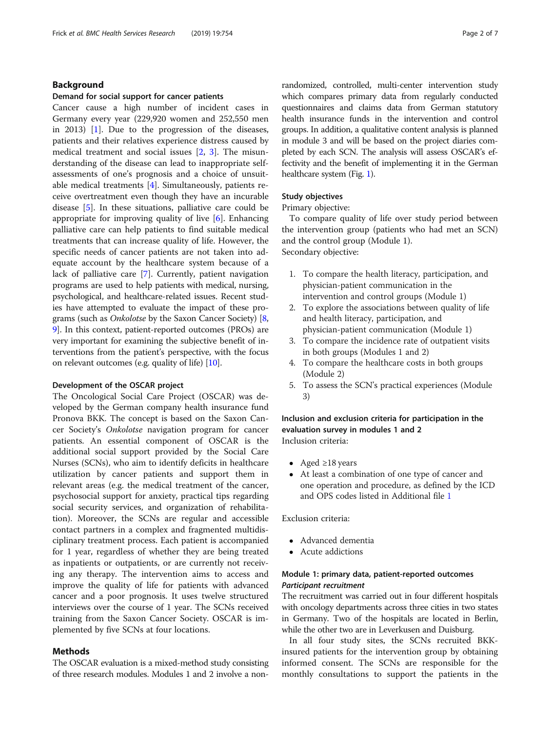## Background

#### Demand for social support for cancer patients

Cancer cause a high number of incident cases in Germany every year (229,920 women and 252,550 men in 2013) [\[1](#page-6-0)]. Due to the progression of the diseases, patients and their relatives experience distress caused by medical treatment and social issues [[2,](#page-6-0) [3](#page-6-0)]. The misunderstanding of the disease can lead to inappropriate selfassessments of one's prognosis and a choice of unsuitable medical treatments [\[4\]](#page-6-0). Simultaneously, patients receive overtreatment even though they have an incurable disease [[5\]](#page-6-0). In these situations, palliative care could be appropriate for improving quality of live [\[6](#page-6-0)]. Enhancing palliative care can help patients to find suitable medical treatments that can increase quality of life. However, the specific needs of cancer patients are not taken into adequate account by the healthcare system because of a lack of palliative care [\[7\]](#page-6-0). Currently, patient navigation programs are used to help patients with medical, nursing, psychological, and healthcare-related issues. Recent studies have attempted to evaluate the impact of these programs (such as Onkolotse by the Saxon Cancer Society) [[8](#page-6-0), [9\]](#page-6-0). In this context, patient-reported outcomes (PROs) are very important for examining the subjective benefit of interventions from the patient's perspective, with the focus on relevant outcomes (e.g. quality of life) [\[10\]](#page-6-0).

#### Development of the OSCAR project

The Oncological Social Care Project (OSCAR) was developed by the German company health insurance fund Pronova BKK. The concept is based on the Saxon Cancer Society's Onkolotse navigation program for cancer patients. An essential component of OSCAR is the additional social support provided by the Social Care Nurses (SCNs), who aim to identify deficits in healthcare utilization by cancer patients and support them in relevant areas (e.g. the medical treatment of the cancer, psychosocial support for anxiety, practical tips regarding social security services, and organization of rehabilitation). Moreover, the SCNs are regular and accessible contact partners in a complex and fragmented multidisciplinary treatment process. Each patient is accompanied for 1 year, regardless of whether they are being treated as inpatients or outpatients, or are currently not receiving any therapy. The intervention aims to access and improve the quality of life for patients with advanced cancer and a poor prognosis. It uses twelve structured interviews over the course of 1 year. The SCNs received training from the Saxon Cancer Society. OSCAR is implemented by five SCNs at four locations.

## Methods

The OSCAR evaluation is a mixed-method study consisting of three research modules. Modules 1 and 2 involve a non-

randomized, controlled, multi-center intervention study which compares primary data from regularly conducted questionnaires and claims data from German statutory health insurance funds in the intervention and control groups. In addition, a qualitative content analysis is planned in module 3 and will be based on the project diaries completed by each SCN. The analysis will assess OSCAR's effectivity and the benefit of implementing it in the German healthcare system (Fig. [1\)](#page-2-0).

## Study objectives

Primary objective:

To compare quality of life over study period between the intervention group (patients who had met an SCN) and the control group (Module 1). Secondary objective:

- 1. To compare the health literacy, participation, and physician-patient communication in the intervention and control groups (Module 1)
- 2. To explore the associations between quality of life and health literacy, participation, and physician-patient communication (Module 1)
- 3. To compare the incidence rate of outpatient visits in both groups (Modules 1 and 2)
- 4. To compare the healthcare costs in both groups (Module 2)
- 5. To assess the SCN's practical experiences (Module 3)

Inclusion and exclusion criteria for participation in the evaluation survey in modules 1 and 2 Inclusion criteria:

- Aged  $\geq$ 18 years
- At least a combination of one type of cancer and one operation and procedure, as defined by the ICD and OPS codes listed in Additional file [1](#page-5-0)

Exclusion criteria:

- Advanced dementia
- Acute addictions

## Module 1: primary data, patient-reported outcomes Participant recruitment

The recruitment was carried out in four different hospitals with oncology departments across three cities in two states in Germany. Two of the hospitals are located in Berlin, while the other two are in Leverkusen and Duisburg.

In all four study sites, the SCNs recruited BKKinsured patients for the intervention group by obtaining informed consent. The SCNs are responsible for the monthly consultations to support the patients in the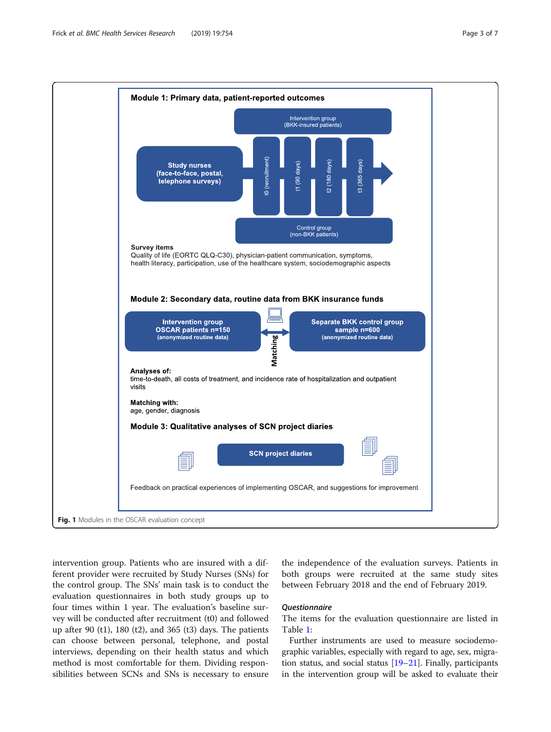<span id="page-2-0"></span>

intervention group. Patients who are insured with a different provider were recruited by Study Nurses (SNs) for the control group. The SNs' main task is to conduct the evaluation questionnaires in both study groups up to four times within 1 year. The evaluation's baseline survey will be conducted after recruitment (t0) and followed up after 90 (t1), 180 (t2), and 365 (t3) days. The patients can choose between personal, telephone, and postal interviews, depending on their health status and which method is most comfortable for them. Dividing responsibilities between SCNs and SNs is necessary to ensure

## the independence of the evaluation surveys. Patients in both groups were recruited at the same study sites between February 2018 and the end of February 2019.

## Questionnaire

The items for the evaluation questionnaire are listed in Table [1:](#page-3-0)

Further instruments are used to measure sociodemographic variables, especially with regard to age, sex, migration status, and social status  $[19-21]$  $[19-21]$  $[19-21]$  $[19-21]$ . Finally, participants in the intervention group will be asked to evaluate their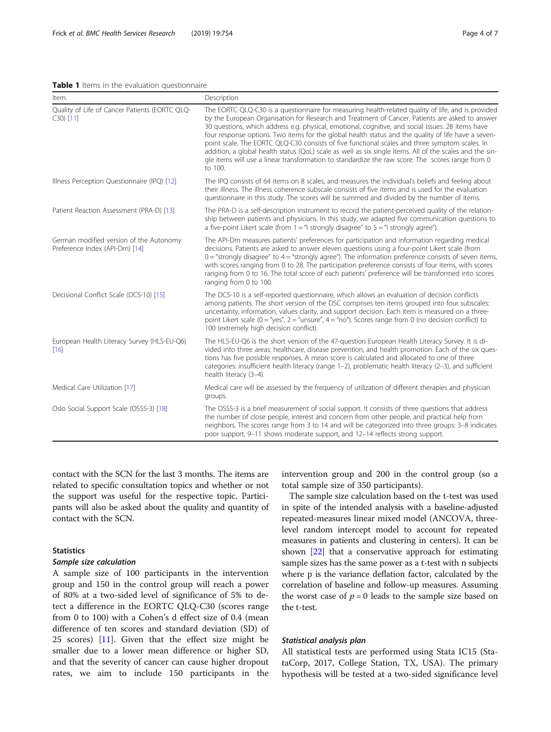#### <span id="page-3-0"></span>Table 1 Items in the evaluation questionnaire

| Item                                                                      | Description                                                                                                                                                                                                                                                                                                                                                                                                                                                                                                                                                                                                                                                                                                                                    |
|---------------------------------------------------------------------------|------------------------------------------------------------------------------------------------------------------------------------------------------------------------------------------------------------------------------------------------------------------------------------------------------------------------------------------------------------------------------------------------------------------------------------------------------------------------------------------------------------------------------------------------------------------------------------------------------------------------------------------------------------------------------------------------------------------------------------------------|
| Quality of Life of Cancer Patients (EORTC QLQ-<br>$C30$ [11]              | The EORTC QLQ-C30 is a questionnaire for measuring health-related quality of life, and is provided<br>by the European Organisation for Research and Treatment of Cancer. Patients are asked to answer<br>30 questions, which address e.g. physical, emotional, cognitive, and social issues. 28 items have<br>four response options. Two items for the global health status and the quality of life have a seven-<br>point scale. The EORTC QLQ-C30 consists of five functional scales and three symptom scales. In<br>addition, a global health status (QoL) scale as well as six single items. All of the scales and the sin-<br>gle items will use a linear transformation to standardize the raw score. The scores range from 0<br>to 100. |
| Illness Perception Questionnaire (IPQ) [12]                               | The IPQ consists of 64 items on 8 scales, and measures the individual's beliefs and feeling about<br>their illness. The illness coherence subscale consists of five items and is used for the evaluation<br>guestionnaire in this study. The scores will be summed and divided by the number of items.                                                                                                                                                                                                                                                                                                                                                                                                                                         |
| Patient Reaction Assessment (PRA-D) [13]                                  | The PRA-D is a self-description instrument to record the patient-perceived quality of the relation-<br>ship between patients and physicians. In this study, we adapted five communication questions to<br>a five-point Likert scale (from $1 =$ "I strongly disagree" to $5 =$ "I strongly agree").                                                                                                                                                                                                                                                                                                                                                                                                                                            |
| German modified version of the Autonomy<br>Preference Index (API-Dm) [14] | The API-Dm measures patients' preferences for participation and information regarding medical<br>decisions. Patients are asked to answer eleven questions using a four-point Likert scale (from<br>$0 =$ "strongly disagree" to $4 =$ "strongly agree"). The information preference consists of seven items,<br>with scores ranging from 0 to 28. The participation preference consists of four items, with scores<br>ranging from 0 to 16. The total score of each patients' preference will be transformed into scores<br>ranging from 0 to 100.                                                                                                                                                                                             |
| Decisional Conflict Scale (DCS-10) [15]                                   | The DCS-10 is a self-reported questionnaire, which allows an evaluation of decision conflicts<br>among patients. The short version of the DSC comprises ten items grouped into four subscales:<br>uncertainty, information, values clarity, and support decision. Each item is measured on a three-<br>point Likert scale ( $0 =$ "yes", $2 =$ "unsure", $4 =$ "no"). Scores range from 0 (no decision conflict) to<br>100 (extremely high decision conflict).                                                                                                                                                                                                                                                                                 |
| European Health Literacy Survey (HLS-EU-Q6)<br>[16]                       | The HLS-EU-Q6 is the short version of the 47-question European Health Literacy Survey. It is di-<br>vided into three areas: healthcare, disease prevention, and health promotion. Each of the six ques-<br>tions has five possible responses. A mean score is calculated and allocated to one of three<br>categories: insufficient health literacy (range 1-2), problematic health literacy (2-3), and sufficient<br>health literacy (3-4).                                                                                                                                                                                                                                                                                                    |
| Medical Care Utilization [17]                                             | Medical care will be assessed by the frequency of utilization of different therapies and physician<br>groups.                                                                                                                                                                                                                                                                                                                                                                                                                                                                                                                                                                                                                                  |
| Oslo Social Support Scale (OSSS-3) [18]                                   | The OSSS-3 is a brief measurement of social support. It consists of three questions that address<br>the number of close people, interest and concern from other people, and practical help from<br>neighbors. The scores range from 3 to 14 and will be categorized into three groups: 3–8 indicates<br>poor support, 9–11 shows moderate support, and 12–14 reflects strong support.                                                                                                                                                                                                                                                                                                                                                          |

contact with the SCN for the last 3 months. The items are related to specific consultation topics and whether or not the support was useful for the respective topic. Participants will also be asked about the quality and quantity of contact with the SCN.

## **Statistics**

## Sample size calculation

A sample size of 100 participants in the intervention group and 150 in the control group will reach a power of 80% at a two-sided level of significance of 5% to detect a difference in the EORTC QLQ-C30 (scores range from 0 to 100) with a Cohen's d effect size of 0.4 (mean difference of ten scores and standard deviation (SD) of 25 scores) [[11\]](#page-6-0). Given that the effect size might be smaller due to a lower mean difference or higher SD, and that the severity of cancer can cause higher dropout rates, we aim to include 150 participants in the intervention group and 200 in the control group (so a total sample size of 350 participants).

The sample size calculation based on the t-test was used in spite of the intended analysis with a baseline-adjusted repeated-measures linear mixed model (ANCOVA, threelevel random intercept model to account for repeated measures in patients and clustering in centers). It can be shown [[22](#page-6-0)] that a conservative approach for estimating sample sizes has the same power as a t-test with n subjects where p is the variance deflation factor, calculated by the correlation of baseline and follow-up measures. Assuming the worst case of  $p = 0$  leads to the sample size based on the t-test.

## Statistical analysis plan

All statistical tests are performed using Stata IC15 (StataCorp, 2017, College Station, TX, USA). The primary hypothesis will be tested at a two-sided significance level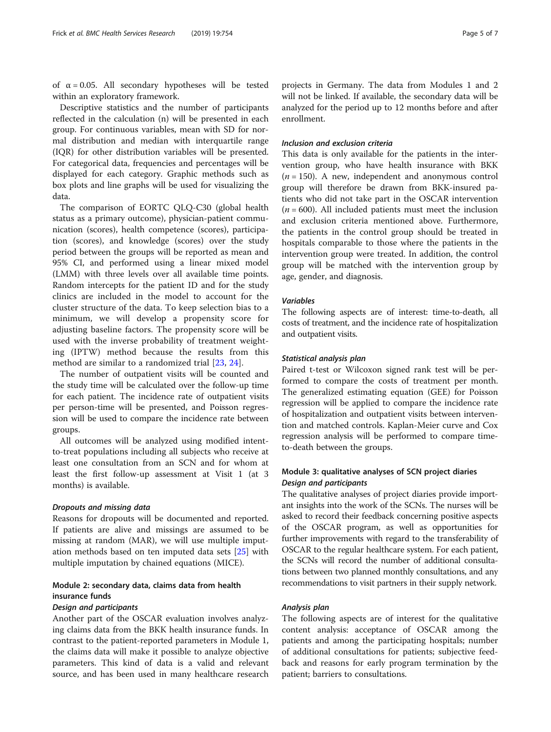of  $\alpha = 0.05$ . All secondary hypotheses will be tested within an exploratory framework.

Descriptive statistics and the number of participants reflected in the calculation (n) will be presented in each group. For continuous variables, mean with SD for normal distribution and median with interquartile range (IQR) for other distribution variables will be presented. For categorical data, frequencies and percentages will be displayed for each category. Graphic methods such as box plots and line graphs will be used for visualizing the data.

The comparison of EORTC QLQ-C30 (global health status as a primary outcome), physician-patient communication (scores), health competence (scores), participation (scores), and knowledge (scores) over the study period between the groups will be reported as mean and 95% CI, and performed using a linear mixed model (LMM) with three levels over all available time points. Random intercepts for the patient ID and for the study clinics are included in the model to account for the cluster structure of the data. To keep selection bias to a minimum, we will develop a propensity score for adjusting baseline factors. The propensity score will be used with the inverse probability of treatment weighting (IPTW) method because the results from this method are similar to a randomized trial [[23,](#page-6-0) [24\]](#page-6-0).

The number of outpatient visits will be counted and the study time will be calculated over the follow-up time for each patient. The incidence rate of outpatient visits per person-time will be presented, and Poisson regression will be used to compare the incidence rate between groups.

All outcomes will be analyzed using modified intentto-treat populations including all subjects who receive at least one consultation from an SCN and for whom at least the first follow-up assessment at Visit 1 (at 3 months) is available.

#### Dropouts and missing data

Reasons for dropouts will be documented and reported. If patients are alive and missings are assumed to be missing at random (MAR), we will use multiple imputation methods based on ten imputed data sets [\[25](#page-6-0)] with multiple imputation by chained equations (MICE).

## Module 2: secondary data, claims data from health insurance funds

## Design and participants

Another part of the OSCAR evaluation involves analyzing claims data from the BKK health insurance funds. In contrast to the patient-reported parameters in Module 1, the claims data will make it possible to analyze objective parameters. This kind of data is a valid and relevant source, and has been used in many healthcare research projects in Germany. The data from Modules 1 and 2 will not be linked. If available, the secondary data will be analyzed for the period up to 12 months before and after enrollment.

#### Inclusion and exclusion criteria

This data is only available for the patients in the intervention group, who have health insurance with BKK  $(n = 150)$ . A new, independent and anonymous control group will therefore be drawn from BKK-insured patients who did not take part in the OSCAR intervention  $(n = 600)$ . All included patients must meet the inclusion and exclusion criteria mentioned above. Furthermore, the patients in the control group should be treated in hospitals comparable to those where the patients in the intervention group were treated. In addition, the control group will be matched with the intervention group by age, gender, and diagnosis.

## Variables

The following aspects are of interest: time-to-death, all costs of treatment, and the incidence rate of hospitalization and outpatient visits.

## Statistical analysis plan

Paired t-test or Wilcoxon signed rank test will be performed to compare the costs of treatment per month. The generalized estimating equation (GEE) for Poisson regression will be applied to compare the incidence rate of hospitalization and outpatient visits between intervention and matched controls. Kaplan-Meier curve and Cox regression analysis will be performed to compare timeto-death between the groups.

## Module 3: qualitative analyses of SCN project diaries Design and participants

The qualitative analyses of project diaries provide important insights into the work of the SCNs. The nurses will be asked to record their feedback concerning positive aspects of the OSCAR program, as well as opportunities for further improvements with regard to the transferability of OSCAR to the regular healthcare system. For each patient, the SCNs will record the number of additional consultations between two planned monthly consultations, and any recommendations to visit partners in their supply network.

#### Analysis plan

The following aspects are of interest for the qualitative content analysis: acceptance of OSCAR among the patients and among the participating hospitals; number of additional consultations for patients; subjective feedback and reasons for early program termination by the patient; barriers to consultations.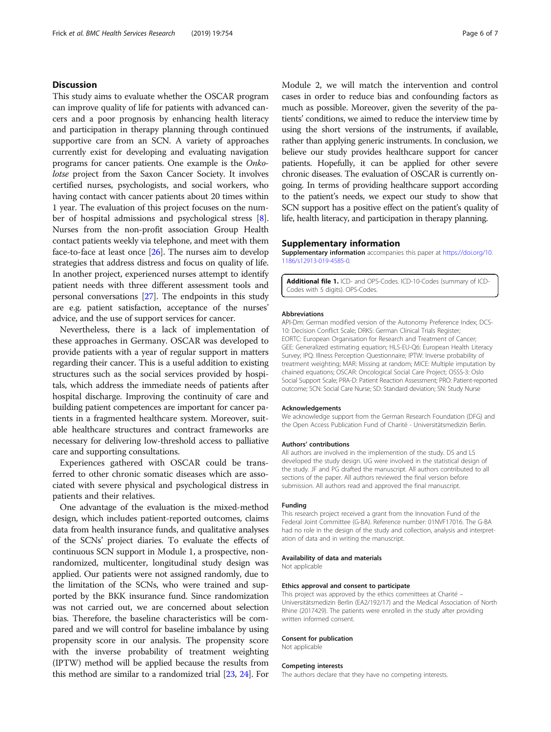## <span id="page-5-0"></span>**Discussion**

This study aims to evaluate whether the OSCAR program can improve quality of life for patients with advanced cancers and a poor prognosis by enhancing health literacy and participation in therapy planning through continued supportive care from an SCN. A variety of approaches currently exist for developing and evaluating navigation programs for cancer patients. One example is the Onkolotse project from the Saxon Cancer Society. It involves certified nurses, psychologists, and social workers, who having contact with cancer patients about 20 times within 1 year. The evaluation of this project focuses on the number of hospital admissions and psychological stress [[8](#page-6-0)]. Nurses from the non-profit association Group Health contact patients weekly via telephone, and meet with them face-to-face at least once [[26](#page-6-0)]. The nurses aim to develop strategies that address distress and focus on quality of life. In another project, experienced nurses attempt to identify patient needs with three different assessment tools and personal conversations [\[27\]](#page-6-0). The endpoints in this study are e.g. patient satisfaction, acceptance of the nurses' advice, and the use of support services for cancer.

Nevertheless, there is a lack of implementation of these approaches in Germany. OSCAR was developed to provide patients with a year of regular support in matters regarding their cancer. This is a useful addition to existing structures such as the social services provided by hospitals, which address the immediate needs of patients after hospital discharge. Improving the continuity of care and building patient competences are important for cancer patients in a fragmented healthcare system. Moreover, suitable healthcare structures and contract frameworks are necessary for delivering low-threshold access to palliative care and supporting consultations.

Experiences gathered with OSCAR could be transferred to other chronic somatic diseases which are associated with severe physical and psychological distress in patients and their relatives.

One advantage of the evaluation is the mixed-method design, which includes patient-reported outcomes, claims data from health insurance funds, and qualitative analyses of the SCNs' project diaries. To evaluate the effects of continuous SCN support in Module 1, a prospective, nonrandomized, multicenter, longitudinal study design was applied. Our patients were not assigned randomly, due to the limitation of the SCNs, who were trained and supported by the BKK insurance fund. Since randomization was not carried out, we are concerned about selection bias. Therefore, the baseline characteristics will be compared and we will control for baseline imbalance by using propensity score in our analysis. The propensity score with the inverse probability of treatment weighting (IPTW) method will be applied because the results from this method are similar to a randomized trial [\[23,](#page-6-0) [24\]](#page-6-0). For

Module 2, we will match the intervention and control cases in order to reduce bias and confounding factors as much as possible. Moreover, given the severity of the patients' conditions, we aimed to reduce the interview time by using the short versions of the instruments, if available, rather than applying generic instruments. In conclusion, we believe our study provides healthcare support for cancer patients. Hopefully, it can be applied for other severe chronic diseases. The evaluation of OSCAR is currently ongoing. In terms of providing healthcare support according to the patient's needs, we expect our study to show that SCN support has a positive effect on the patient's quality of life, health literacy, and participation in therapy planning.

#### Supplementary information

Supplementary information accompanies this paper at [https://doi.org/10.](https://doi.org/10.1186/s12913-019-4585-0) [1186/s12913-019-4585-0.](https://doi.org/10.1186/s12913-019-4585-0)

Additional file 1. ICD- and OPS-Codes. ICD-10-Codes (summary of ICD-Codes with 5 digits). OPS-Codes.

#### Abbreviations

API-Dm: German modified version of the Autonomy Preference Index; DCS-10: Decision Conflict Scale; DRKS: German Clinical Trials Register; EORTC: European Organisation for Research and Treatment of Cancer; GEE: Generalized estimating equation; HLS-EU-Q6: European Health Literacy Survey; IPQ: Illness Perception Questionnaire; IPTW: Inverse probability of treatment weighting; MAR: Missing at random; MICE: Multiple imputation by chained equations; OSCAR: Oncological Social Care Project; OSSS-3: Oslo Social Support Scale; PRA-D: Patient Reaction Assessment; PRO: Patient-reported outcome; SCN: Social Care Nurse; SD: Standard deviation; SN: Study Nurse

#### Acknowledgements

We acknowledge support from the German Research Foundation (DFG) and the Open Access Publication Fund of Charité - Universitätsmedizin Berlin.

#### Authors' contributions

All authors are involved in the implemention of the study. DS and LS developed the study design. UG were involved in the statistical design of the study. JF and PG drafted the manuscript. All authors contributed to all sections of the paper. All authors reviewed the final version before submission. All authors read and approved the final manuscript.

#### Funding

This research project received a grant from the Innovation Fund of the Federal Joint Committee (G-BA). Reference number: 01NVF17016. The G-BA had no role in the design of the study and collection, analysis and interpretation of data and in writing the manuscript.

## Availability of data and materials

Not applicable

#### Ethics approval and consent to participate

This project was approved by the ethics committees at Charité – Universitätsmedizin Berlin (EA2/192/17) and the Medical Association of North Rhine (2017429). The patients were enrolled in the study after providing written informed consent.

#### Consent for publication

Not applicable

#### Competing interests

The authors declare that they have no competing interests.